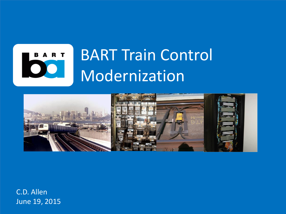



C.D. Allen June 19, 2015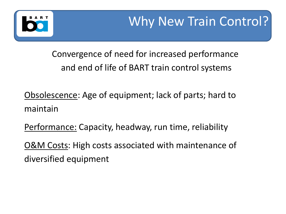

Convergence of need for increased performance and end of life of BART train control systems

Obsolescence: Age of equipment; lack of parts; hard to maintain

Performance: Capacity, headway, run time, reliability

O&M Costs: High costs associated with maintenance of diversified equipment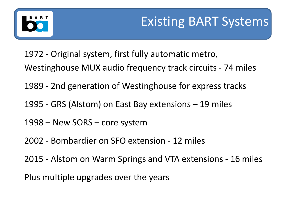- 1972 Original system, first fully automatic metro, Westinghouse MUX audio frequency track circuits - 74 miles
- 1989 2nd generation of Westinghouse for express tracks
- 1995 GRS (Alstom) on East Bay extensions 19 miles
- 1998 New SORS core system
- 2002 Bombardier on SFO extension 12 miles
- 2015 Alstom on Warm Springs and VTA extensions 16 miles
- Plus multiple upgrades over the years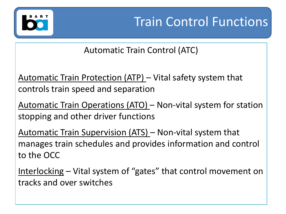

Automatic Train Control (ATC)

Automatic Train Protection (ATP) – Vital safety system that controls train speed and separation

Automatic Train Operations (ATO) – Non-vital system for station stopping and other driver functions

Automatic Train Supervision (ATS) – Non-vital system that manages train schedules and provides information and control to the OCC

Interlocking – Vital system of "gates" that control movement on tracks and over switches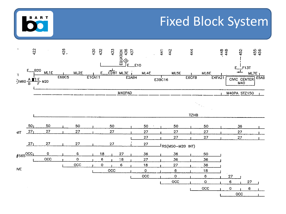



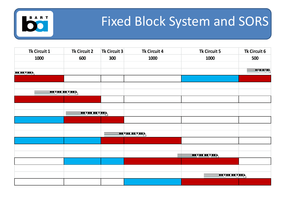

## Fixed Block System and SORS

| Tk Circuit 1        | Tk Circuit 2           | Tk Circuit 3 | <b>Tk Circuit 4</b>    | Tk Circuit 5         | Tk Circuit 6    |
|---------------------|------------------------|--------------|------------------------|----------------------|-----------------|
| 1000                | 600                    | 300          | 1000                   | 1000                 | 500             |
|                     |                        |              |                        |                      |                 |
| <u>in ne " en f</u> |                        |              |                        |                      | با ساب سابان کا |
|                     |                        |              |                        |                      |                 |
|                     |                        |              |                        |                      |                 |
|                     |                        |              |                        |                      |                 |
|                     |                        |              |                        |                      |                 |
|                     |                        |              |                        |                      |                 |
|                     | <u>so qoo oo qiooj</u> |              |                        |                      |                 |
|                     |                        |              |                        |                      |                 |
|                     |                        |              |                        |                      |                 |
|                     |                        |              | <u>Sterne beried p</u> |                      |                 |
|                     |                        |              |                        |                      |                 |
|                     |                        |              |                        |                      |                 |
|                     |                        |              |                        | <u>soger en geel</u> |                 |
|                     |                        |              |                        |                      |                 |
|                     |                        |              |                        |                      |                 |
|                     |                        |              | <u>sogas sogasi</u>    |                      |                 |
|                     |                        |              |                        |                      |                 |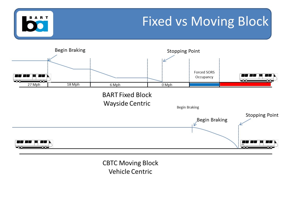

**CBTC Moving Block Vehicle Centric**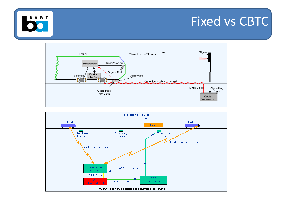## Fixed vs CBTC





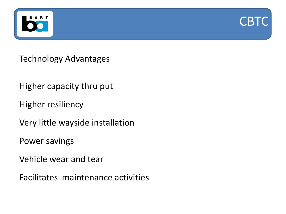



Technology Advantages

Higher capacity thru put

Higher resiliency

Very little wayside installation

Power savings

Vehicle wear and tear

Facilitates maintenance activities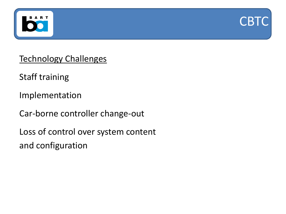



Technology Challenges

Staff training

Implementation

Car-borne controller change-out

Loss of control over system content and configuration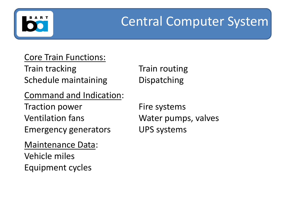# Central Computer System

### Core Train Functions: Train tracking Train routing Schedule maintaining **Dispatching**

Command and Indication:

Traction power Fire systems Ventilation fans Water pumps, valves Emergency generators UPS systems

#### Maintenance Data:

Vehicle miles Equipment cycles